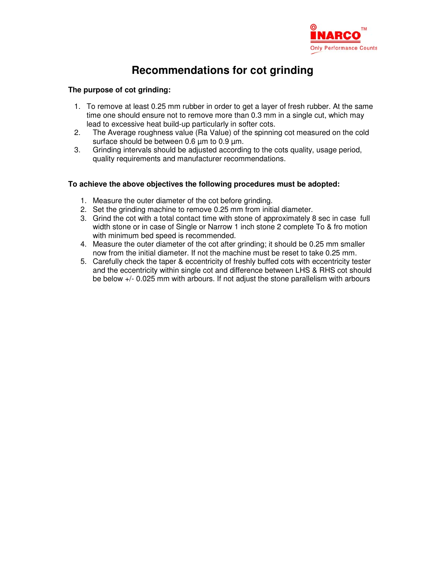

# **Recommendations for cot grinding**

## **The purpose of cot grinding:**

- 1. To remove at least 0.25 mm rubber in order to get a layer of fresh rubber. At the same time one should ensure not to remove more than 0.3 mm in a single cut, which may lead to excessive heat build-up particularly in softer cots.
- 2. The Average roughness value (Ra Value) of the spinning cot measured on the cold surface should be between 0.6 um to 0.9 um.
- 3. Grinding intervals should be adjusted according to the cots quality, usage period, quality requirements and manufacturer recommendations.

#### **To achieve the above objectives the following procedures must be adopted:**

- 1. Measure the outer diameter of the cot before grinding.
- 2. Set the grinding machine to remove 0.25 mm from initial diameter.
- 3. Grind the cot with a total contact time with stone of approximately 8 sec in case full width stone or in case of Single or Narrow 1 inch stone 2 complete To & fro motion with minimum bed speed is recommended.
- 4. Measure the outer diameter of the cot after grinding; it should be 0.25 mm smaller now from the initial diameter. If not the machine must be reset to take 0.25 mm.
- 5. Carefully check the taper & eccentricity of freshly buffed cots with eccentricity tester and the eccentricity within single cot and difference between LHS & RHS cot should be below +/- 0.025 mm with arbours. If not adjust the stone parallelism with arbours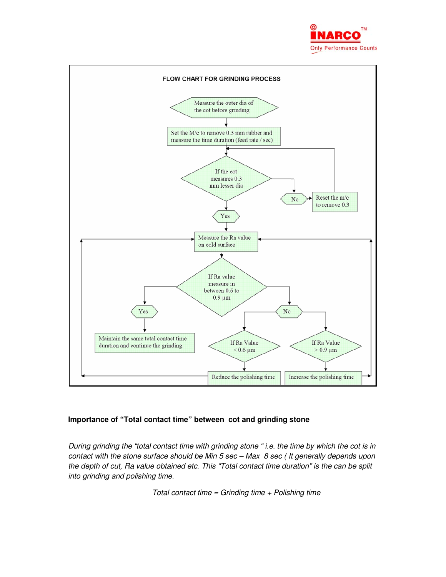



# **Importance of "Total contact time" between cot and grinding stone**

During grinding the "total contact time with grinding stone " i.e. the time by which the cot is in contact with the stone surface should be Min 5 sec – Max 8 sec ( It generally depends upon the depth of cut, Ra value obtained etc. This "Total contact time duration" is the can be split into grinding and polishing time.

Total contact time = Grinding time  $+$  Polishing time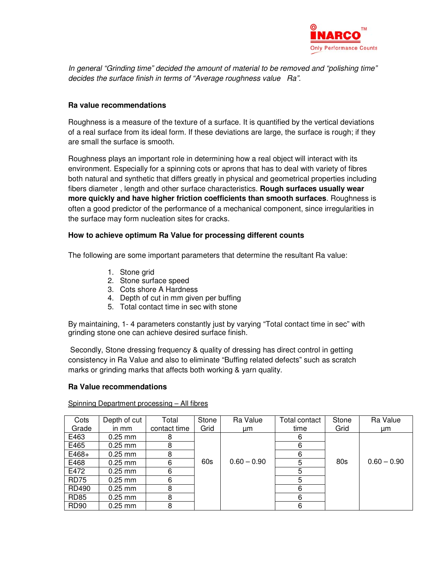

In general "Grinding time" decided the amount of material to be removed and "polishing time" decides the surface finish in terms of "Average roughness value Ra".

## **Ra value recommendations**

Roughness is a measure of the texture of a surface. It is quantified by the vertical deviations of a real surface from its ideal form. If these deviations are large, the surface is rough; if they are small the surface is smooth.

Roughness plays an important role in determining how a real object will interact with its environment. Especially for a spinning cots or aprons that has to deal with variety of fibres both natural and synthetic that differs greatly in physical and geometrical properties including fibers diameter , length and other surface characteristics. **Rough surfaces usually wear more quickly and have higher friction coefficients than smooth surfaces**. Roughness is often a good predictor of the performance of a mechanical component, since irregularities in the surface may form nucleation sites for cracks.

## **How to achieve optimum Ra Value for processing different counts**

The following are some important parameters that determine the resultant Ra value:

- 1. Stone grid
- 2. Stone surface speed
- 3. Cots shore A Hardness
- 4. Depth of cut in mm given per buffing
- 5. Total contact time in sec with stone

By maintaining, 1- 4 parameters constantly just by varying "Total contact time in sec" with grinding stone one can achieve desired surface finish.

 Secondly, Stone dressing frequency & quality of dressing has direct control in getting consistency in Ra Value and also to eliminate "Buffing related defects" such as scratch marks or grinding marks that affects both working & yarn quality.

#### **Ra Value recommendations**

Spinning Department processing – All fibres

| Cots        | Depth of cut | Total        | Stone | Ra Value      | Total contact | Stone | Ra Value      |
|-------------|--------------|--------------|-------|---------------|---------------|-------|---------------|
| Grade       | in mm        | contact time | Grid  | μm            | time          | Grid  | um            |
| E463        | $0.25$ mm    | 8            |       |               | 6             |       |               |
| E465        | $0.25$ mm    | 8            |       |               | 6             |       |               |
| $E468+$     | $0.25$ mm    | 8            |       |               | 6             |       |               |
| E468        | $0.25$ mm    | 6            | 60s   | $0.60 - 0.90$ | 5             | 80s   | $0.60 - 0.90$ |
| E472        | $0.25$ mm    | 6            |       |               | 5             |       |               |
| <b>RD75</b> | $0.25$ mm    | 6            |       |               | 5             |       |               |
| RD490       | $0.25$ mm    | 8            |       |               | 6             |       |               |
| <b>RD85</b> | $0.25$ mm    | 8            |       |               | 6             |       |               |
| <b>RD90</b> | $0.25$ mm    | 8            |       |               | 6             |       |               |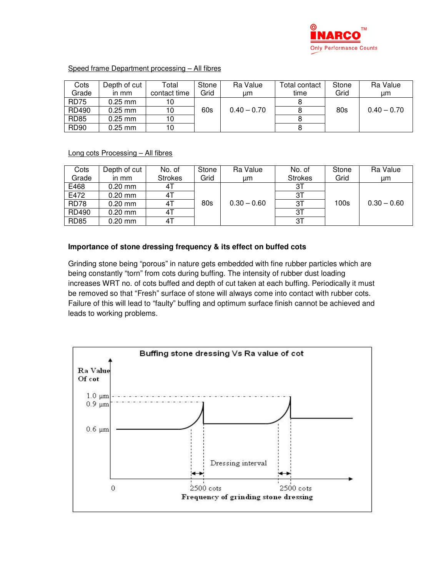

## Speed frame Department processing – All fibres

| Cots        | Depth of cut I | Total        | Stone | Ra Value    | Total contact | Stone | Ra Value      |
|-------------|----------------|--------------|-------|-------------|---------------|-------|---------------|
| Grade       | in mm          | contact time | Grid  | иm          | time          | Grid  | цm            |
| <b>RD75</b> | $0.25$ mm      |              |       |             |               |       |               |
| RD490       | $0.25$ mm      |              | 60s   | $0.40-0.70$ |               | 80s   | $0.40 - 0.70$ |
| <b>RD85</b> | $0.25$ mm      | 10           |       |             |               |       |               |
| <b>RD90</b> | $0.25$ mm      | 10           |       |             |               |       |               |

Long cots Processing – All fibres

| Cots         | Depth of cut | No. of         | Stone | Ra Value      | No. of         | Stone | Ra Value      |
|--------------|--------------|----------------|-------|---------------|----------------|-------|---------------|
| Grade        | in mm        | <b>Strokes</b> | Grid  | цm            | <b>Strokes</b> | Grid  | цm            |
| E468         | $0.20$ mm    | 41             |       |               | 31             |       |               |
| E472         | $0.20$ mm    | 41             |       |               | 31             |       |               |
| <b>RD78</b>  | $0.20$ mm    | 4T             | 80s   | $0.30 - 0.60$ | ЗT             | 100s  | $0.30 - 0.60$ |
| <b>RD490</b> | $0.20$ mm    | 41             |       |               | 31             |       |               |
| <b>RD85</b>  | $0.20$ mm    | 41             |       |               | 31             |       |               |

# **Importance of stone dressing frequency & its effect on buffed cots**

Grinding stone being "porous" in nature gets embedded with fine rubber particles which are being constantly "torn" from cots during buffing. The intensity of rubber dust loading increases WRT no. of cots buffed and depth of cut taken at each buffing. Periodically it must be removed so that "Fresh" surface of stone will always come into contact with rubber cots. Failure of this will lead to "faulty" buffing and optimum surface finish cannot be achieved and leads to working problems.

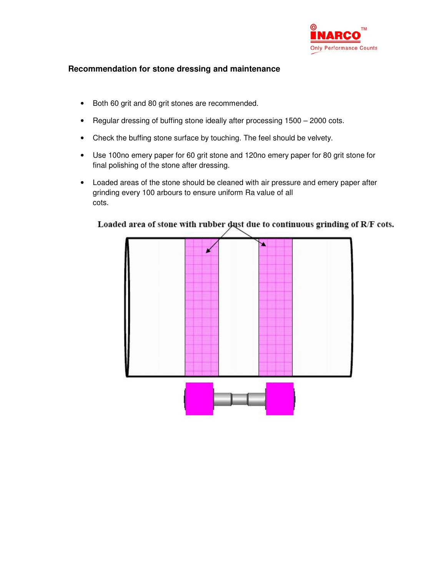

# **Recommendation for stone dressing and maintenance**

- Both 60 grit and 80 grit stones are recommended.
- Regular dressing of buffing stone ideally after processing 1500 2000 cots.
- Check the buffing stone surface by touching. The feel should be velvety.
- Use 100no emery paper for 60 grit stone and 120no emery paper for 80 grit stone for final polishing of the stone after dressing.
- Loaded areas of the stone should be cleaned with air pressure and emery paper after grinding every 100 arbours to ensure uniform Ra value of all cots.



# Loaded area of stone with rubber dust due to continuous grinding of R/F cots.